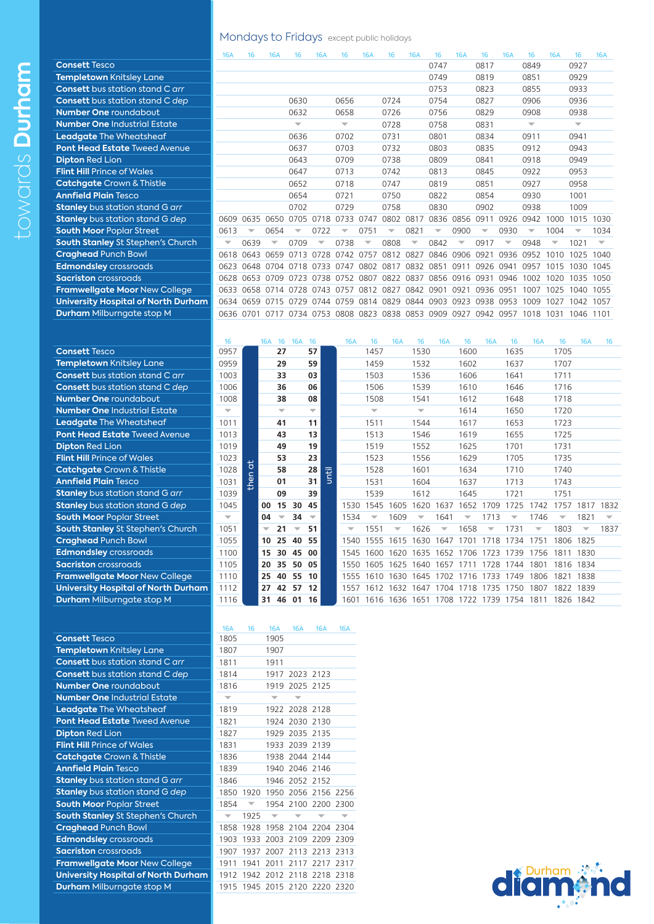**Consett Tesco** 

**Dipton Red Lion Flint Hill Prince of Wales Catchgate** Crown & Thistle **Annfield Plain Tesco** 

**Templetown Knitsley Lane Consett** bus station stand C arr **Consett** bus station stand C *dep* **Number One** roundabout **Number One Industrial Estate Leadgate The Wheatsheaf Pont Head Estate Tweed Avenue** 

**Stanley** bus station stand G arr **Stanley** bus station stand G *dep* **South Moor Poplar Street South Stanley St Stephen's Church** 

**Framwellgate Moor New College University Hospital of North Durh Durham Milburngate stop M** 

**Craghead Punch Bowl Edmondsley** crossroads **Sacriston** crossroads

#### Mondays to Fridays except public holidays

|                                            | <b>16A</b>               | 16   | <b>16A</b>               | 16                       | <b>16A</b>               | 16                       | <b>16A</b> | 16   | <b>16A</b>               | 16                       | <b>16A</b>               | 16                       | <b>16A</b>               | 16                       | <b>16A</b>               | 16                       | <b>16A</b>               |
|--------------------------------------------|--------------------------|------|--------------------------|--------------------------|--------------------------|--------------------------|------------|------|--------------------------|--------------------------|--------------------------|--------------------------|--------------------------|--------------------------|--------------------------|--------------------------|--------------------------|
| <b>Consett Tesco</b>                       |                          |      |                          |                          |                          |                          |            |      |                          | 0747                     |                          | 0817                     |                          | 0849                     |                          | 0927                     |                          |
| Templetown Knitsley Lane                   |                          |      |                          |                          |                          |                          |            |      |                          | 0749                     |                          | 0819                     |                          | 0851                     |                          | 0929                     |                          |
| <b>Consett</b> bus station stand C arr     |                          |      |                          |                          |                          |                          |            |      |                          | 0753                     |                          | 0823                     |                          | 0855                     |                          | 0933                     |                          |
| <b>Consett</b> bus station stand C dep     |                          |      |                          | 0630                     |                          | 0656                     |            | 0724 |                          | 0754                     |                          | 0827                     |                          | 0906                     |                          | 0936                     |                          |
| <b>Number One roundabout</b>               |                          |      |                          | 0632                     |                          | 0658                     |            | 0726 |                          | 0756                     |                          | 0829                     |                          | 0908                     |                          | 0938                     |                          |
| <b>Number One Industrial Estate</b>        |                          |      |                          | $\overline{\phantom{a}}$ |                          | $\overline{\phantom{a}}$ |            | 0728 |                          | 0758                     |                          | 0831                     |                          | $\overline{\phantom{a}}$ |                          | $\overline{\phantom{a}}$ |                          |
| <b>Leadgate</b> The Wheatsheaf             |                          |      |                          | 0636                     |                          | 0702                     |            | 0731 |                          | 0801                     |                          | 0834                     |                          | 0911                     |                          | 0941                     |                          |
| <b>Pont Head Estate Tweed Avenue</b>       |                          |      |                          | 0637                     |                          | 0703                     |            | 0732 |                          | 0803                     |                          | 0835                     |                          | 0912                     |                          | 0943                     |                          |
| <b>Dipton Red Lion</b>                     |                          |      |                          | 0643                     |                          | 0709                     |            | 0738 |                          | 0809                     |                          | 0841                     |                          | 0918                     |                          | 0949                     |                          |
| <b>Flint Hill Prince of Wales</b>          |                          |      |                          | 0647                     |                          | 0713                     |            | 0742 |                          | 0813                     |                          | 0845                     |                          | 0922                     |                          | 0953                     |                          |
| <b>Catchgate</b> Crown & Thistle           |                          |      |                          | 0652                     |                          | 0718                     |            | 0747 |                          | 0819                     |                          | 0851                     |                          | 0927                     |                          | 0958                     |                          |
| <b>Annfield Plain Tesco</b>                |                          |      |                          | 0654                     |                          | 0721                     |            | 0750 |                          | 0822                     |                          | 0854                     |                          | 0930                     |                          | 1001                     |                          |
| <b>Stanley</b> bus station stand G arr     |                          |      |                          | 0702                     |                          | 0729                     |            | 0758 |                          | 0830                     |                          | 0902                     |                          | 0938                     |                          | 1009                     |                          |
| <b>Stanley</b> bus station stand G dep     | 0609                     | 0635 | 0650                     | 0705                     | 0718                     | 0733                     | 0747       | 0802 | 0817                     | 0836                     | 0856                     | 0911                     | 0926                     | 0942                     | 1000                     | 1015                     | 1030                     |
| <b>South Moor Poplar Street</b>            | 0613                     |      | 0654                     | ▽                        | 0722                     | $\overline{\phantom{a}}$ | 0751       | ▼    | 0821                     | $\overline{\phantom{a}}$ | 0900                     | $\overline{\phantom{a}}$ | 0930                     | ▽                        | 1004                     | $\overline{\phantom{a}}$ | 1034                     |
| South Stanley St Stephen's Church          | $\overline{\phantom{a}}$ | 0639 | $\overline{\phantom{a}}$ | 0709                     | $\overline{\phantom{a}}$ | 0738                     | ▼          | 0808 | $\overline{\phantom{a}}$ | 0842                     | $\overline{\phantom{a}}$ | 0917                     | $\overline{\phantom{a}}$ | 0948                     | $\overline{\phantom{a}}$ | 1021                     | $\overline{\phantom{a}}$ |
| <b>Craghead Punch Bowl</b>                 | 0618                     | 0643 | 0659                     | 0713                     | 0728                     | 0742                     | 0757       | 0812 | 0827                     | 0846                     | 0906                     | 0921                     | 0936                     | 0952                     | 1010                     | 1025                     | 1040                     |
| <b>Edmondsley</b> crossroads               | 0623                     | 0648 | 0704                     | 0718                     | 0733                     | 0747                     | 0802       | 0817 | 0832                     | 0851                     | 0911                     | 0926                     | 0941                     | 0957                     | 1015                     | 1030                     | 1045                     |
| <b>Sacriston</b> crossroads                | 0628                     | 0653 | 0709                     | 0723                     | 0738                     | 0752                     | 0807       | 0822 | 0837                     | 0856                     | 0916                     | 0931                     | 0946                     | 1002                     | 1020                     | 1035                     | 1050                     |
| <b>Framwellgate Moor New College</b>       | 0633                     |      | 0658 0714 0728           |                          | 0743                     | 0757                     | 0812       | 0827 | 0842                     | 0901                     | 0921                     | 0936                     | 0951                     | 1007                     | 1025                     | 1040                     | 1055                     |
| <b>University Hospital of North Durham</b> | 0634                     | 0659 | 0715                     | 0729                     | 0744                     | 0759                     | 0814       | 0829 | 0844 0903                |                          | 0923                     | 0938                     | 0953                     | 1009                     | 1027                     | 1042                     | 1057                     |
| <b>Durham</b> Milburngate stop M           | 0636                     | 0701 | 0717                     | 0734                     | 0753                     | 0808                     | 0823       | 0838 | 0853                     | 0909                     | 0927                     | 0942                     | 0957                     | 1018                     | 1031                     | 1046                     | 1101                     |
|                                            |                          |      |                          |                          |                          |                          |            |      |                          |                          |                          |                          |                          |                          |                          |                          |                          |

|    | 16                       |                | <b>16A</b>               | 16                       | <b>16A</b> | -16                      |       | <b>16A</b>               | 16                       | <b>16A</b>          | 16                       | <b>16A</b>               | 16                                      | <b>16A</b>               | 16                       | <b>16A</b> | 16                       | <b>16A</b>               | 16                       |
|----|--------------------------|----------------|--------------------------|--------------------------|------------|--------------------------|-------|--------------------------|--------------------------|---------------------|--------------------------|--------------------------|-----------------------------------------|--------------------------|--------------------------|------------|--------------------------|--------------------------|--------------------------|
|    | 0957                     |                |                          | 27                       |            | 57                       |       |                          | 1457                     |                     | 1530                     |                          | 1600                                    |                          | 1635                     |            | 1705                     |                          |                          |
|    | 0959                     |                |                          | 29                       |            | 59                       |       |                          | 1459                     |                     | 1532                     |                          | 1602                                    |                          | 1637                     |            | 1707                     |                          |                          |
|    | 1003                     |                |                          | 33                       |            | 03                       |       |                          | 1503                     |                     | 1536                     |                          | 1606                                    |                          | 1641                     |            | 1711                     |                          |                          |
|    | 1006                     |                |                          | 36                       |            | 06                       |       |                          | 1506                     |                     | 1539                     |                          | 1610                                    |                          | 1646                     |            | 1716                     |                          |                          |
|    | 1008                     |                |                          | 38                       |            | 08                       |       |                          | 1508                     |                     | 1541                     |                          | 1612                                    |                          | 1648                     |            | 1718                     |                          |                          |
|    | $\overline{\nabla}$      |                |                          | $\overline{\phantom{0}}$ |            | $\overline{\phantom{a}}$ |       |                          | $\overline{\phantom{m}}$ |                     | $\overline{\nabla}$      |                          | 1614                                    |                          | 1650                     |            | 1720                     |                          |                          |
|    | 1011                     |                |                          | 41                       |            | 11                       |       |                          | 1511                     |                     | 1544                     |                          | 1617                                    |                          | 1653                     |            | 1723                     |                          |                          |
|    | 1013                     |                |                          | 43                       |            | 13                       |       |                          | 1513                     |                     | 1546                     |                          | 1619                                    |                          | 1655                     |            | 1725                     |                          |                          |
|    | 1019                     |                |                          | 49                       |            | 19                       |       |                          | 1519                     |                     | 1552                     |                          | 1625                                    |                          | 1701                     |            | 1731                     |                          |                          |
|    | 1023                     |                |                          | 53                       |            | 23                       |       |                          | 1523                     |                     | 1556                     |                          | 1629                                    |                          | 1705                     |            | 1735                     |                          |                          |
|    | 1028                     | t<br>$\subset$ |                          | 58                       |            | 28                       | until |                          | 1528                     |                     | 1601                     |                          | 1634                                    |                          | 1710                     |            | 1740                     |                          |                          |
|    | 1031                     | thei           |                          | 01                       |            | 31                       |       |                          | 1531                     |                     | 1604                     |                          | 1637                                    |                          | 1713                     |            | 1743                     |                          |                          |
|    | 1039                     |                |                          | 09                       |            | 39                       |       |                          | 1539                     |                     | 1612                     |                          | 1645                                    |                          | 1721                     |            | 1751                     |                          |                          |
|    | 1045                     |                | 00                       | 15                       | 30         | 45                       |       | 1530                     | 1545 1605                |                     | 1620                     | 1637                     | 1652 1709                               |                          | 1725                     | 1742       | 1757                     | 1817 1832                |                          |
|    | $\overline{\phantom{m}}$ |                | 04                       | $\overline{\phantom{a}}$ | 34         | $\overline{\phantom{m}}$ |       | 1534                     | ▼                        | 1609                | $\overline{\phantom{a}}$ | 1641                     | $\overline{\phantom{a}}$                | 1713                     | $\overline{\phantom{a}}$ | 1746       | $\overline{\phantom{a}}$ | 1821                     | $\overline{\phantom{m}}$ |
|    | 1051                     |                | $\overline{\phantom{a}}$ | 21                       |            | 51                       |       | $\overline{\phantom{a}}$ | 1551                     |                     | 1626                     | $\overline{\phantom{a}}$ | 1658                                    | $\overline{\phantom{a}}$ | 1731                     | ▼          | 1803                     | $\overline{\phantom{a}}$ | 1837                     |
|    | 1055                     |                | 10                       | 25                       | 40         | 55                       |       | 1540                     | 1555                     | 1615                | 1630                     | 1647                     | 1701                                    | 1718                     | 1734                     | 1751       | 1806                     | 1825                     |                          |
|    | 1100                     |                | 15                       | 30                       | 45         | 00                       |       | 1545                     | 1600                     | 1620 1635 1652 1706 |                          |                          |                                         | 1723                     | 1739                     | 1756       | 1811                     | 1830                     |                          |
|    | 1105                     |                | 20                       | 35                       | 50         | 05                       |       | 1550                     | 1605 1625                |                     | 1640                     | 1657                     | 1711                                    | 1728                     | 1744                     | 1801       | 1816 1834                |                          |                          |
|    | 1110                     |                | 25                       | 40                       | 55         | 10                       |       |                          | 1555 1610 1630           |                     | 1645                     |                          | 1702 1716                               | 1733                     | 1749                     | 1806       | 1821 1838                |                          |                          |
| am | 1112                     |                | 27                       | 42                       | 57         | 12                       |       | 1557                     | 1612                     | 1632                | 1647                     | 1704                     | 1718                                    | 1735                     | 1750                     | 1807       | 1822 1839                |                          |                          |
|    | 1116                     |                | 31                       | 46                       |            | 01 16                    |       |                          |                          |                     |                          |                          | 1601 1616 1636 1651 1708 1722 1739 1754 |                          |                          | 1811       | 1826 1842                |                          |                          |
|    |                          |                |                          |                          |            |                          |       |                          |                          |                     |                          |                          |                                         |                          |                          |            |                          |                          |                          |

|                                            | <b>16A</b>               | 16                       | <b>16A</b>               | <b>16A</b>     | <b>16A</b> | <b>16A</b> |
|--------------------------------------------|--------------------------|--------------------------|--------------------------|----------------|------------|------------|
| <b>Consett Tesco</b>                       | 1805                     |                          | 1905                     |                |            |            |
| <b>Templetown Knitsley Lane</b>            | 1807                     |                          | 1907                     |                |            |            |
| <b>Consett</b> bus station stand C arr     | 1811                     |                          | 1911                     |                |            |            |
| <b>Consett</b> bus station stand C dep     | 1814                     |                          |                          | 1917 2023 2123 |            |            |
| <b>Number One roundabout</b>               | 1816                     |                          |                          | 1919 2025 2125 |            |            |
| <b>Number One Industrial Estate</b>        | $\overline{\phantom{a}}$ |                          | $\overline{\phantom{a}}$ |                |            |            |
| <b>Leadgate The Wheatsheaf</b>             | 1819                     |                          |                          | 1922 2028 2128 |            |            |
| <b>Pont Head Estate Tweed Avenue</b>       | 1821                     |                          |                          | 1924 2030      | 2130       |            |
| <b>Dipton Red Lion</b>                     | 1827                     |                          |                          | 1929 2035      | 2135       |            |
| <b>Flint Hill Prince of Wales</b>          | 1831                     |                          |                          | 1933 2039      | 2139       |            |
| <b>Catchgate</b> Crown & Thistle           | 1836                     |                          |                          | 1938 2044 2144 |            |            |
| <b>Annfield Plain Tesco</b>                | 1839                     |                          |                          | 1940 2046      | 2146       |            |
| <b>Stanley</b> bus station stand G arr     | 1846                     |                          |                          | 1946 2052 2152 |            |            |
| <b>Stanley</b> bus station stand G dep     | 1850                     | 1920                     |                          | 1950 2056      | 2156       | 2256       |
| <b>South Moor Poplar Street</b>            | 1854                     | $\overline{\phantom{a}}$ |                          | 1954 2100      | 2200       | 2300       |
| <b>South Stanley St Stephen's Church</b>   | $\overline{\phantom{a}}$ | 1925                     | $\overline{\phantom{a}}$ |                |            | ▼          |
| <b>Craghead Punch Bowl</b>                 | 1858                     | 1928                     |                          | 1958 2104 2204 |            | 2304       |
| <b>Edmondsley</b> crossroads               | 1903                     | 1933                     | 2003                     | 2109           | 2209       | 2309       |
| <b>Sacriston</b> crossroads                | 1907                     | 1937                     | 2007                     | 2113           | 2213       | 2313       |
| <b>Framwellgate Moor New College</b>       | 1911                     | 1941                     | 2011                     | 2117           | 2217       | 2317       |
| <b>University Hospital of North Durham</b> | 1912                     | 1942                     | 2012 2118                |                | 2218       | 2318       |
| <b>Durham</b> Milburngate stop M           |                          | 1915 1945 2015 2120      |                          |                | 2220       | 2320       |

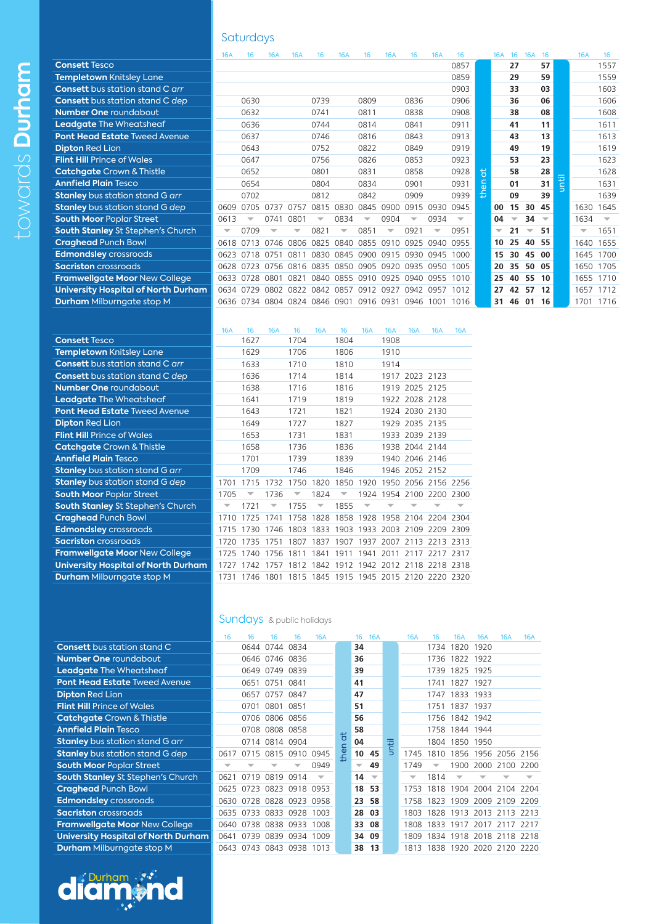# **Saturdays**

|                                            | <b>16A</b>               | 16                       | <b>16A</b> | 16A                      | 16                       | <b>16A</b>               | 16                       | <b>16A</b>               | 16                       | <b>16A</b> | 16                       |   | <b>16A</b>               | -16                      | <b>16A</b>               | -16                      |   | <b>16A</b>               | 16                       |
|--------------------------------------------|--------------------------|--------------------------|------------|--------------------------|--------------------------|--------------------------|--------------------------|--------------------------|--------------------------|------------|--------------------------|---|--------------------------|--------------------------|--------------------------|--------------------------|---|--------------------------|--------------------------|
| <b>Consett Tesco</b>                       |                          |                          |            |                          |                          |                          |                          |                          |                          |            | 0857                     |   |                          | 27                       |                          | 57                       |   |                          | 1557                     |
| <b>Templetown Knitsley Lane</b>            |                          |                          |            |                          |                          |                          |                          |                          |                          |            | 0859                     |   |                          | 29                       |                          | 59                       |   |                          | 1559                     |
| <b>Consett</b> bus station stand C arr     |                          |                          |            |                          |                          |                          |                          |                          |                          |            | 0903                     |   |                          | 33                       |                          | 03                       |   |                          | 1603                     |
| <b>Consett</b> bus station stand C dep     |                          | 0630                     |            |                          | 0739                     |                          | 0809                     |                          | 0836                     |            | 0906                     |   |                          | 36                       |                          | 06                       |   |                          | 1606                     |
| <b>Number One roundabout</b>               |                          | 0632                     |            |                          | 0741                     |                          | 0811                     |                          | 0838                     |            | 0908                     |   |                          | 38                       |                          | 08                       |   |                          | 1608                     |
| <b>Leadgate The Wheatsheaf</b>             |                          | 0636                     |            |                          | 0744                     |                          | 0814                     |                          | 0841                     |            | 0911                     |   |                          | 41                       |                          | 11                       |   |                          | 1611                     |
| <b>Pont Head Estate Tweed Avenue</b>       |                          | 0637                     |            |                          | 0746                     |                          | 0816                     |                          | 0843                     |            | 0913                     |   |                          | 43                       |                          | 13                       |   |                          | 1613                     |
| <b>Dipton Red Lion</b>                     |                          | 0643                     |            |                          | 0752                     |                          | 0822                     |                          | 0849                     |            | 0919                     |   |                          | 49                       |                          | 19                       |   |                          | 1619                     |
| <b>Flint Hill Prince of Wales</b>          |                          | 0647                     |            |                          | 0756                     |                          | 0826                     |                          | 0853                     |            | 0923                     |   |                          | 53                       |                          | 23                       |   |                          | 1623                     |
| <b>Catchgate</b> Crown & Thistle           |                          | 0652                     |            |                          | 0801                     |                          | 0831                     |                          | 0858                     |            | 0928                     | 븅 |                          | 58                       |                          | 28                       |   |                          | 1628                     |
| <b>Annfield Plain Tesco</b>                |                          | 0654                     |            |                          | 0804                     |                          | 0834                     |                          | 0901                     |            | 0931                     | 듧 |                          | 01                       |                          | 31                       | Ē |                          | 1631                     |
| <b>Stanley</b> bus station stand G arr     |                          | 0702                     |            |                          | 0812                     |                          | 0842                     |                          | 0909                     |            | 0939                     | 운 |                          | 09                       |                          | 39                       |   |                          | 1639                     |
| <b>Stanley</b> bus station stand G dep     | 0609                     | 0705                     | 0737       | 0757                     | 0815                     | 0830                     | 0845                     | 0900                     | 0915                     | 0930       | 0945                     |   | 00                       | 15                       | 30                       | 45                       |   | 1630                     | 1645                     |
| <b>South Moor Poplar Street</b>            | 0613                     | $\overline{\phantom{a}}$ | 0741       | 0801                     | $\overline{\phantom{a}}$ | 0834                     | $\overline{\phantom{a}}$ | 0904                     | $\overline{\phantom{a}}$ | 0934       | $\overline{\phantom{a}}$ |   | 04                       | $\overline{\phantom{a}}$ | 34                       | $\overline{\phantom{a}}$ |   | 1634                     | $\overline{\phantom{a}}$ |
| <b>South Stanley St Stephen's Church</b>   | $\overline{\phantom{a}}$ | 0709                     |            | $\overline{\phantom{a}}$ | 0821                     | $\overline{\phantom{a}}$ | 0851                     | $\overline{\phantom{a}}$ | 0921                     |            | 0951                     |   | $\overline{\phantom{a}}$ | 21                       | $\overline{\phantom{a}}$ | 51                       |   | $\overline{\phantom{a}}$ | 1651                     |
| <b>Craghead Punch Bowl</b>                 | 0618                     | 0713                     | 0746       | 0806                     | 0825                     | 0840                     | 0855                     | 0910                     | 0925                     | 0940       | 0955                     |   | 10                       | 25                       | 40                       | 55                       |   | 1640                     | 1655                     |
| <b>Edmondsley</b> crossroads               | 0623                     | 0718                     | 0751       | 0811                     | 0830                     | 0845                     |                          | 0900 0915                | 0930                     | 0945       | 1000                     |   | 15                       | 30                       | 45                       | 00                       |   | 1645                     | 1700                     |
| <b>Sacriston</b> crossroads                | 0628                     | 0723                     | 0756       | 0816 0835                |                          | 0850                     | 0905                     | 0920                     | 0935 0950                |            | 1005                     |   | 20                       | 35                       | 50                       | 05                       |   | 1650                     | 1705                     |
| <b>Framwellgate Moor New College</b>       | 0633                     | 0728                     | 0801       | 0821                     | 0840                     | 0855                     |                          | 0910 0925                | 0940                     | 0955 1010  |                          |   | 25                       | 40                       | 55                       | 10                       |   | 1655                     | 1710                     |
| <b>University Hospital of North Durham</b> | 0634                     | 0729                     | 0802       | 0822                     | 0842                     | 0857                     | 0912                     | 0927                     | 0942 0957                |            | 1012                     |   | 27                       | 42                       | 57                       | 12                       |   | 1657                     | 1712                     |
| <b>Durham</b> Milburngate stop M           |                          | 0636 0734                | 0804       | 0824 0846                |                          | 0901                     |                          | 0916 0931                | 0946                     | 1001       | 1016                     |   | 31                       | 46                       | 01                       | 16                       |   | 1701                     | 1716                     |
|                                            |                          |                          |            |                          |                          |                          |                          |                          |                          |            |                          |   |                          |                          |                          |                          |   |                          |                          |

|                                            | <b>16A</b> | 16        | <b>16A</b>               | 16   | <b>16A</b>               | 16   | <b>16A</b> | <b>16A</b> | <b>16A</b>     | <b>16A</b>                              | <b>16A</b> |
|--------------------------------------------|------------|-----------|--------------------------|------|--------------------------|------|------------|------------|----------------|-----------------------------------------|------------|
| <b>Consett Tesco</b>                       |            | 1627      |                          | 1704 |                          | 1804 |            | 1908       |                |                                         |            |
| Templetown Knitsley Lane                   |            | 1629      |                          | 1706 |                          | 1806 |            | 1910       |                |                                         |            |
| <b>Consett</b> bus station stand C arr     |            | 1633      |                          | 1710 |                          | 1810 |            | 1914       |                |                                         |            |
| <b>Consett</b> bus station stand C dep     |            | 1636      |                          | 1714 |                          | 1814 |            |            | 1917 2023 2123 |                                         |            |
| <b>Number One roundabout</b>               |            | 1638      |                          | 1716 |                          | 1816 |            |            | 1919 2025 2125 |                                         |            |
| <b>Leadgate</b> The Wheatsheaf             |            | 1641      |                          | 1719 |                          | 1819 |            |            | 1922 2028 2128 |                                         |            |
| <b>Pont Head Estate Tweed Avenue</b>       |            | 1643      |                          | 1721 |                          | 1821 |            |            | 1924 2030 2130 |                                         |            |
| <b>Dipton Red Lion</b>                     |            | 1649      |                          | 1727 |                          | 1827 |            |            | 1929 2035 2135 |                                         |            |
| <b>Flint Hill Prince of Wales</b>          |            | 1653      |                          | 1731 |                          | 1831 |            |            | 1933 2039 2139 |                                         |            |
| <b>Catchgate</b> Crown & Thistle           |            | 1658      |                          | 1736 |                          | 1836 |            |            | 1938 2044 2144 |                                         |            |
| <b>Annfield Plain Tesco</b>                |            | 1701      |                          | 1739 |                          | 1839 |            |            | 1940 2046 2146 |                                         |            |
| <b>Stanley</b> bus station stand G arr     |            | 1709      |                          | 1746 |                          | 1846 |            |            | 1946 2052 2152 |                                         |            |
| <b>Stanley</b> bus station stand G dep     | 1701       | 1715      | 1732                     | 1750 | 1820                     | 1850 | 1920       |            |                | 1950 2056 2156 2256                     |            |
| <b>South Moor Poplar Street</b>            | 1705       |           | 1736                     |      | 1824                     |      |            |            |                | 1924 1954 2100 2200 2300                |            |
| South Stanley St Stephen's Church          |            | 1721      | $\overline{\phantom{a}}$ | 1755 | $\overline{\phantom{a}}$ | 1855 |            |            |                |                                         |            |
| <b>Craghead Punch Bowl</b>                 | 1710       | 1725      | 1741                     |      |                          |      |            |            |                | 1758 1828 1858 1928 1958 2104 2204 2304 |            |
| <b>Edmondsley</b> crossroads               | 1715       | 1730      | 1746                     |      | 1803 1833 1903           |      |            |            |                | 1933 2003 2109 2209 2309                |            |
| <b>Sacriston</b> crossroads                | 1720       | 1735      | 1751                     | 1807 | 1837 1907                |      |            |            |                | 1937 2007 2113 2213 2313                |            |
| <b>Framwellgate Moor New College</b>       | 1725       | 1740      | 1756                     | 1811 | 1841                     | 1911 | 1941       | 2011       | 2117           | 2217                                    | 2317       |
| <b>University Hospital of North Durham</b> | 1727       | 1742      | 1757                     |      |                          |      |            |            |                | 1812 1842 1912 1942 2012 2118 2218 2318 |            |
| <b>Durham</b> Milburngate stop M           | 1731       | 1746 1801 |                          |      |                          |      |            |            |                | 1815 1845 1915 1945 2015 2120 2220 2320 |            |
|                                            |            |           |                          |      |                          |      |            |            |                |                                         |            |

# Sundays & public holidays

|           | 16   | 16   | 16                       | 16             | <b>16A</b> |      | 16 | <b>16A</b> |       | <b>16A</b> | 16   | <b>16A</b>     | <b>16A</b>               | <b>16A</b> | <b>16A</b> |
|-----------|------|------|--------------------------|----------------|------------|------|----|------------|-------|------------|------|----------------|--------------------------|------------|------------|
|           |      | 0644 | 0744 0834                |                |            |      | 34 |            |       |            | 1734 | 1820           | 1920                     |            |            |
|           |      |      | 0646 0746 0836           |                |            |      | 36 |            |       |            | 1736 | 1822 1922      |                          |            |            |
|           |      |      | 0649 0749 0839           |                |            |      | 39 |            |       |            | 1739 |                | 1825 1925                |            |            |
|           |      | 0651 | 0751 0841                |                |            |      | 41 |            |       |            | 1741 | 1827           | 1927                     |            |            |
|           |      | 0657 | 0757 0847                |                |            |      | 47 |            |       |            | 1747 |                | 1833 1933                |            |            |
|           |      | 0701 | 0801 0851                |                |            |      | 51 |            |       |            | 1751 | 1837 1937      |                          |            |            |
|           |      |      | 0706 0806 0856           |                |            |      | 56 |            |       |            |      | 1756 1842 1942 |                          |            |            |
|           |      |      | 0708 0808 0858           |                |            |      | 58 |            |       |            |      | 1758 1844 1944 |                          |            |            |
|           |      |      | 0714 0814 0904           |                |            | t    | 04 |            | until |            | 1804 | 1850           | 1950                     |            |            |
|           | 0617 | 0715 | 0815                     | 0910           | 0945       | then | 10 | 45         |       | 1745       | 1810 |                | 1856 1956 2056 2156      |            |            |
|           |      |      |                          |                | 0949       |      |    | 49         |       | 1749       |      | 1900           | 2000                     | 2100 2200  |            |
| h         | 0621 |      | 0719 0819 0914           |                |            |      | 14 |            |       |            | 1814 |                |                          |            |            |
|           | 0625 | 0723 |                          | 0823 0918 0953 |            |      | 18 | 53         |       | 1753       | 1818 | 1904           | 2004 2104 2204           |            |            |
|           |      |      | 0630 0728 0828 0923 0958 |                |            |      | 23 | 58         |       | 1758       | 1823 | 1909           | 2009                     | 2109 2209  |            |
|           | 0635 | 0733 |                          | 0833 0928      | 1003       |      | 28 | 03         |       | 1803       | 1828 | 1913           | 2013                     | 2113 2213  |            |
|           | 0640 |      | 0738 0838 0933           |                | 1008       |      | 33 | 08         |       | 1808       | 1833 | 1917           | 2017                     | 2117 2217  |            |
| <b>am</b> | 0641 | 0739 | 0839                     | 0934           | 1009       |      | 34 | 09         |       | 1809       | 1834 | 1918           | 2018                     | 2118 2218  |            |
|           |      |      | 0643 0743 0843 0938 1013 |                |            |      | 38 | 13         |       | 1813       |      |                | 1838 1920 2020 2120 2220 |            |            |



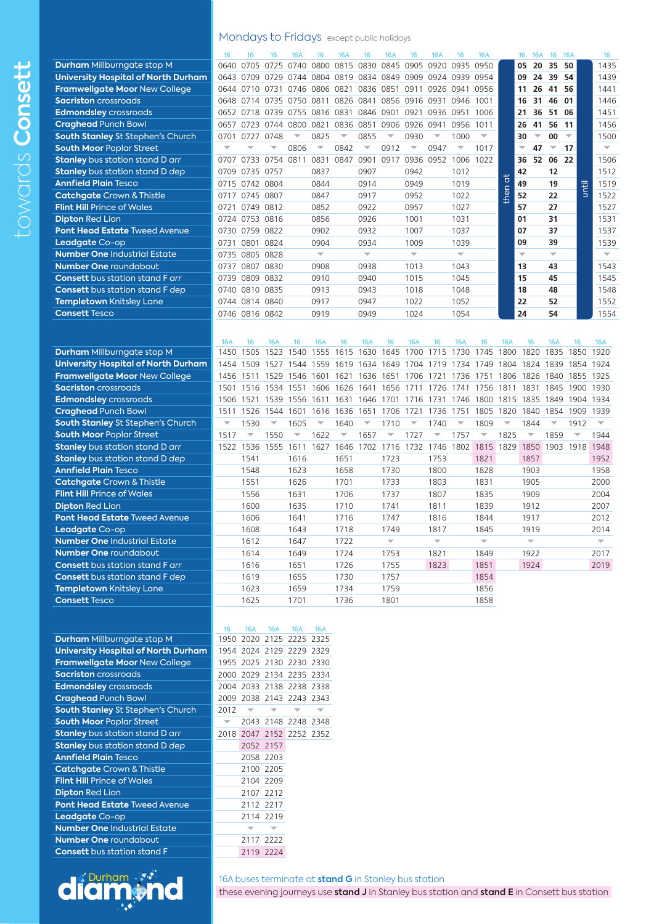**Stanley** bus station stand D *dep* 2052 2157 **Annfield Plain Tesco** 2058 2203 **Catchgate Crown & Thistle 2100 2205 Flint Hill Prince of Wales 2104 2209 Dipton Red Lion 2107 2212 Pont Head Estate Tweed Avenue 2112 2217 Leadgate Co-op 2114 2219 Number One** Industrial Estate x x **Number One** roundabout **1996** 2117 2222 **Consett** bus station stand F 2119 2224



16A buses terminate at **stand G** in Stanley bus station

these evening journeys use **stand J** in Stanley bus station and **stand E** in Consett bus station